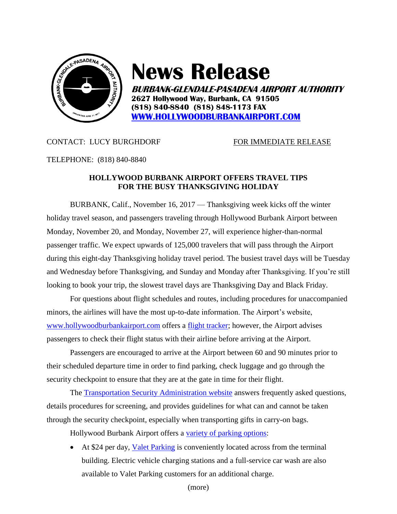

# **News Release**

**BURBANK-GLENDALE-PASADENA AIRPORT AUTHORITY 2627 Hollywood Way, Burbank, CA 91505 (818) 840-8840 (818) 848-1173 FAX [WWW.HOLLYWOODBURBANKAIRPORT.COM](http://www.hollywoodburbankairport.com/)**

# CONTACT: LUCY BURGHDORF FOR IMMEDIATE RELEASE

### TELEPHONE: (818) 840-8840

# **HOLLYWOOD BURBANK AIRPORT OFFERS TRAVEL TIPS FOR THE BUSY THANKSGIVING HOLIDAY**

BURBANK, Calif., November 16, 2017 — Thanksgiving week kicks off the winter holiday travel season, and passengers traveling through Hollywood Burbank Airport between Monday, November 20, and Monday, November 27, will experience higher-than-normal passenger traffic. We expect upwards of 125,000 travelers that will pass through the Airport during this eight-day Thanksgiving holiday travel period. The busiest travel days will be Tuesday and Wednesday before Thanksgiving, and Sunday and Monday after Thanksgiving. If you're still looking to book your trip, the slowest travel days are Thanksgiving Day and Black Friday.

For questions about flight schedules and routes, including procedures for unaccompanied minors, the airlines will have the most up-to-date information. The Airport's website, [www.hollywoodburbankairport.com](http://www.hollywoodburbankairport.com/) offers a [flight tracker;](https://hollywoodburbankairport.com/flight-information/) however, the Airport advises passengers to check their flight status with their airline before arriving at the Airport.

Passengers are encouraged to arrive at the Airport between 60 and 90 minutes prior to their scheduled departure time in order to find parking, check luggage and go through the security checkpoint to ensure that they are at the gate in time for their flight.

The [Transportation Security Administration website](https://www.tsa.gov/travel/frequently-asked-questions) answers frequently asked questions, details procedures for screening, and provides guidelines for what can and cannot be taken through the security checkpoint, especially when transporting gifts in carry-on bags.

Hollywood Burbank Airport offers a [variety of parking options:](https://hollywoodburbankairport.com/airport-facility-maps/parking-maps/)

 At \$24 per day, [Valet Parking](https://hollywoodburbankairport.com/parking/valet-2/) is conveniently located across from the terminal building. Electric vehicle charging stations and a full-service car wash are also available to Valet Parking customers for an additional charge.

(more)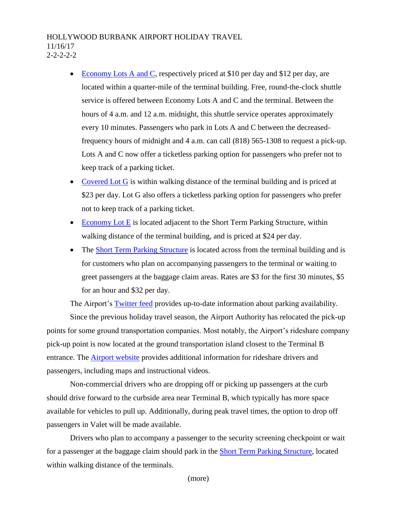## HOLLYWOOD BURBANK AIRPORT HOLIDAY TRAVEL 11/16/17  $2 - 2 - 2 - 2$

- [Economy Lots A and C,](https://hollywoodburbankairport.com/parking/long-term-parking/) respectively priced at \$10 per day and \$12 per day, are located within a quarter-mile of the terminal building. Free, round-the-clock shuttle service is offered between Economy Lots A and C and the terminal. Between the hours of 4 a.m. and 12 a.m. midnight, this shuttle service operates approximately every 10 minutes. Passengers who park in Lots A and C between the decreasedfrequency hours of midnight and 4 a.m. can call (818) 565-1308 to request a pick-up. Lots A and C now offer a ticketless parking option for passengers who prefer not to keep track of a parking ticket.
- [Covered Lot G](https://hollywoodburbankairport.com/parking/long-term-parking/) is within walking distance of the terminal building and is priced at \$23 per day. Lot G also offers a ticketless parking option for passengers who prefer not to keep track of a parking ticket.
- $\bullet$  [Economy Lot E](https://hollywoodburbankairport.com/parking/long-term-parking/) is located adjacent to the Short Term Parking Structure, within walking distance of the terminal building, and is priced at \$24 per day.
- The [Short Term Parking Structure](https://hollywoodburbankairport.com/parking/short-term-parking/) is located across from the terminal building and is for customers who plan on accompanying passengers to the terminal or waiting to greet passengers at the baggage claim areas. Rates are \$3 for the first 30 minutes, \$5 for an hour and \$32 per day.

The Airport's [Twitter feed](https://twitter.com/fly_BUR) provides up-to-date information about parking availability. Since the previous holiday travel season, the Airport Authority has relocated the pick-up points for some ground transportation companies. Most notably, the Airport's rideshare company pick-up point is now located at the ground transportation island closest to the Terminal B entrance. The **Airport website** provides additional information for rideshare drivers and passengers, including maps and instructional videos.

Non-commercial drivers who are dropping off or picking up passengers at the curb should drive forward to the curbside area near Terminal B, which typically has more space available for vehicles to pull up. Additionally, during peak travel times, the option to drop off passengers in Valet will be made available.

Drivers who plan to accompany a passenger to the security screening checkpoint or wait for a passenger at the baggage claim should park in the [Short Term Parking Structure,](https://hollywoodburbankairport.com/parking/short-term-parking/) located within walking distance of the terminals.